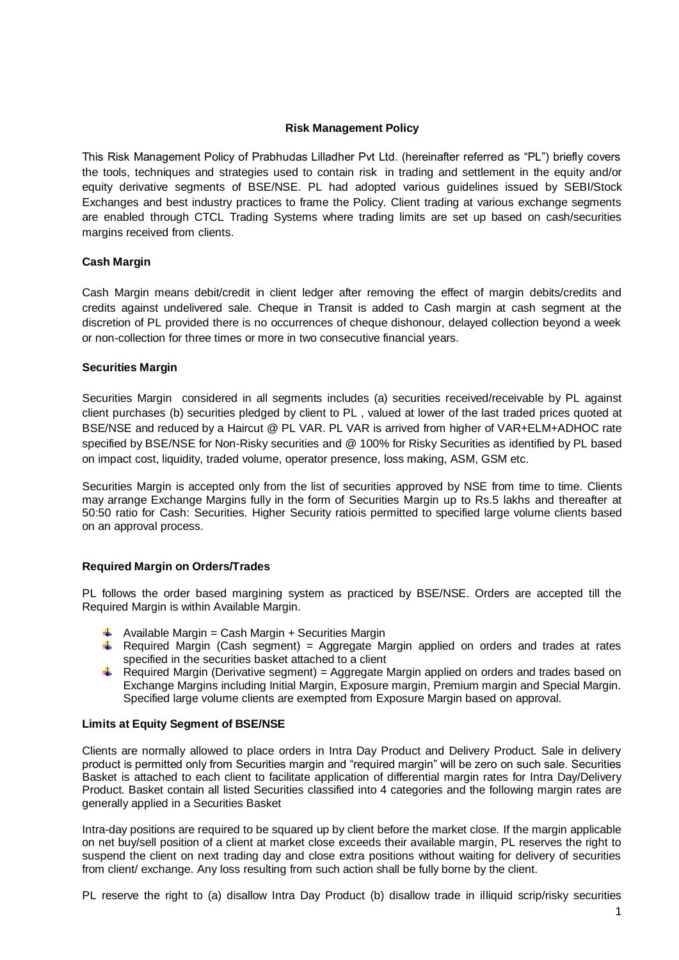## **Risk Management Policy**

This Risk Management Policy of Prabhudas Lilladher Pvt Ltd. (hereinafter referred as "PL") briefly covers the tools, techniques and strategies used to contain risk in trading and settlement in the equity and/or equity derivative segments of BSE/NSE. PL had adopted various guidelines issued by SEBI/Stock Exchanges and best industry practices to frame the Policy. Client trading at various exchange segments are enabled through CTCL Trading Systems where trading limits are set up based on cash/securities margins received from clients.

### **Cash Margin**

Cash Margin means debit/credit in client ledger after removing the effect of margin debits/credits and credits against undelivered sale. Cheque in Transit is added to Cash margin at cash segment at the discretion of PL provided there is no occurrences of cheque dishonour, delayed collection beyond a week or non-collection for three times or more in two consecutive financial years.

### **Securities Margin**

Securities Margin considered in all segments includes (a) securities received/receivable by PL against client purchases (b) securities pledged by client to PL , valued at lower of the last traded prices quoted at BSE/NSE and reduced by a Haircut @ PL VAR. PL VAR is arrived from higher of VAR+ELM+ADHOC rate specified by BSE/NSE for Non-Risky securities and @ 100% for Risky Securities as identified by PL based on impact cost, liquidity, traded volume, operator presence, loss making, ASM, GSM etc.

Securities Margin is accepted only from the list of securities approved by NSE from time to time. Clients may arrange Exchange Margins fully in the form of Securities Margin up to Rs.5 lakhs and thereafter at 50:50 ratio for Cash: Securities. Higher Security ratiois permitted to specified large volume clients based on an approval process.

# **Required Margin on Orders/Trades**

PL follows the order based margining system as practiced by BSE/NSE. Orders are accepted till the Required Margin is within Available Margin.

- $\downarrow$  Available Margin = Cash Margin + Securities Margin
- $\overline{+}$  Required Margin (Cash segment) = Aggregate Margin applied on orders and trades at rates specified in the securities basket attached to a client
- ⊕. Required Margin (Derivative segment) = Aggregate Margin applied on orders and trades based on Exchange Margins including Initial Margin, Exposure margin, Premium margin and Special Margin. Specified large volume clients are exempted from Exposure Margin based on approval.

### **Limits at Equity Segment of BSE/NSE**

Clients are normally allowed to place orders in Intra Day Product and Delivery Product. Sale in delivery product is permitted only from Securities margin and "required margin" will be zero on such sale. Securities Basket is attached to each client to facilitate application of differential margin rates for Intra Day/Delivery Product. Basket contain all listed Securities classified into 4 categories and the following margin rates are generally applied in a Securities Basket

Intra-day positions are required to be squared up by client before the market close. If the margin applicable on net buy/sell position of a client at market close exceeds their available margin, PL reserves the right to suspend the client on next trading day and close extra positions without waiting for delivery of securities from client/ exchange. Any loss resulting from such action shall be fully borne by the client.

PL reserve the right to (a) disallow Intra Day Product (b) disallow trade in illiquid scrip/risky securities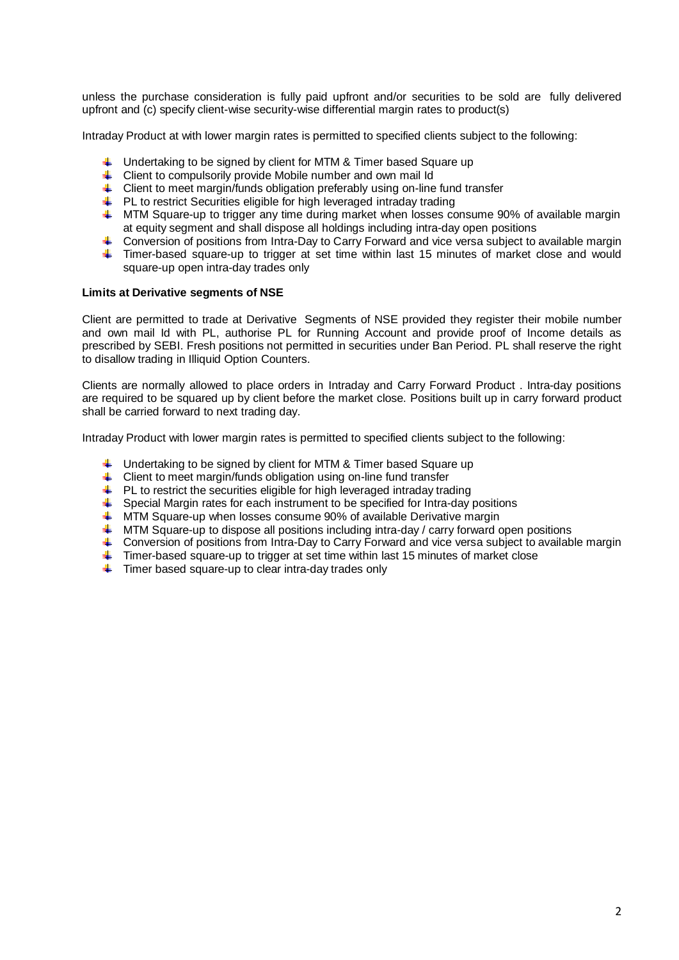unless the purchase consideration is fully paid upfront and/or securities to be sold are fully delivered upfront and (c) specify client-wise security-wise differential margin rates to product(s)

Intraday Product at with lower margin rates is permitted to specified clients subject to the following:

- $\downarrow$  Undertaking to be signed by client for MTM & Timer based Square up
- 4 Client to compulsorily provide Mobile number and own mail Id
- $\ddot{\phantom{1}}$  Client to meet margin/funds obligation preferably using on-line fund transfer
- $\downarrow$  PL to restrict Securities eligible for high leveraged intraday trading
- $\uparrow$  MTM Square-up to trigger any time during market when losses consume 90% of available margin at equity segment and shall dispose all holdings including intra-day open positions
- 4 Conversion of positions from Intra-Day to Carry Forward and vice versa subject to available margin
- Timer-based square-up to trigger at set time within last 15 minutes of market close and would square-up open intra-day trades only

### **Limits at Derivative segments of NSE**

Client are permitted to trade at Derivative Segments of NSE provided they register their mobile number and own mail Id with PL, authorise PL for Running Account and provide proof of Income details as prescribed by SEBI. Fresh positions not permitted in securities under Ban Period. PL shall reserve the right to disallow trading in Illiquid Option Counters.

Clients are normally allowed to place orders in Intraday and Carry Forward Product . Intra-day positions are required to be squared up by client before the market close. Positions built up in carry forward product shall be carried forward to next trading day.

Intraday Product with lower margin rates is permitted to specified clients subject to the following:

- $\ddot{\bullet}$  Undertaking to be signed by client for MTM & Timer based Square up
- $\ddot{\phantom{1}}$  Client to meet margin/funds obligation using on-line fund transfer
- $\ddot{\phantom{1}}$  PL to restrict the securities eligible for high leveraged intraday trading
- Special Margin rates for each instrument to be specified for Intra-day positions
- **WRTM Square-up when losses consume 90% of available Derivative margin**
- $\uparrow$  MTM Square-up to dispose all positions including intra-day / carry forward open positions
- Conversion of positions from Intra-Day to Carry Forward and vice versa subject to available margin
- Timer-based square-up to trigger at set time within last 15 minutes of market close
- $\ddot{\phantom{1}}$  Timer based square-up to clear intra-day trades only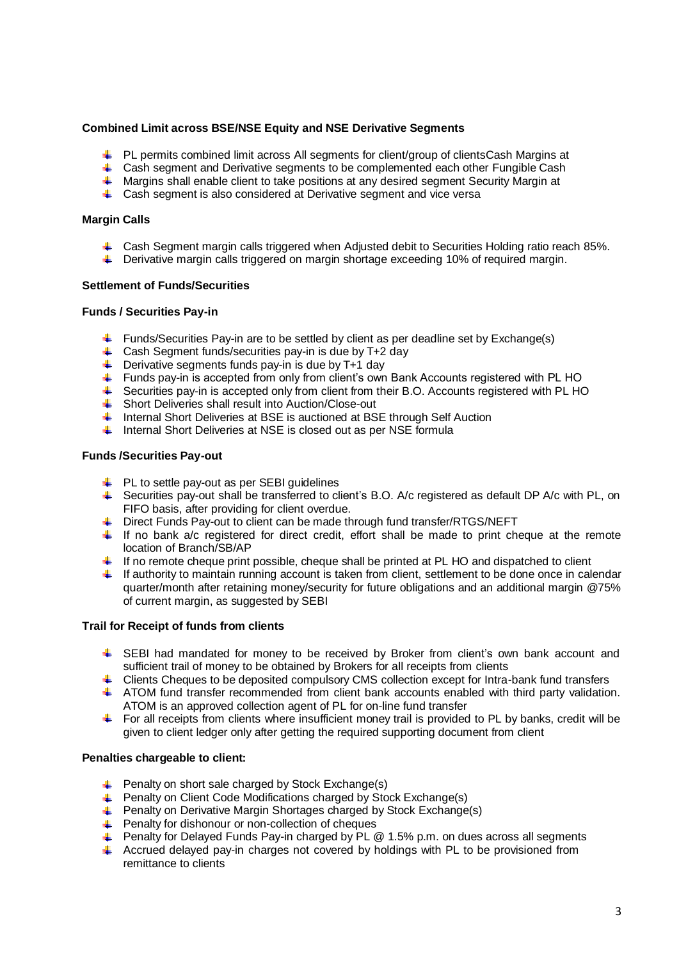# **Combined Limit across BSE/NSE Equity and NSE Derivative Segments**

- PL permits combined limit across All segments for client/group of clientsCash Margins at
- 4 Cash segment and Derivative segments to be complemented each other Fungible Cash
- **4** Margins shall enable client to take positions at any desired segment Security Margin at
- 4 Cash segment is also considered at Derivative segment and vice versa

### **Margin Calls**

- 4 Cash Segment margin calls triggered when Adjusted debit to Securities Holding ratio reach 85%.
- **E** Derivative margin calls triggered on margin shortage exceeding 10% of required margin.

### **Settlement of Funds/Securities**

### **Funds / Securities Pay-in**

- Funds/Securities Pay-in are to be settled by client as per deadline set by Exchange(s)
- 4 Cash Segment funds/securities pay-in is due by T+2 day
- $\overline{\phantom{a}}$  Derivative segments funds pay-in is due by T+1 day
- Funds pay-in is accepted from only from client's own Bank Accounts registered with PL HO
- Securities pay-in is accepted only from client from their B.O. Accounts registered with PL HO
- Short Deliveries shall result into Auction/Close-out
- ₩. Internal Short Deliveries at BSE is auctioned at BSE through Self Auction
- I Internal Short Deliveries at NSE is closed out as per NSE formula

### **Funds /Securities Pay-out**

- $\downarrow$  PL to settle pay-out as per SEBI guidelines
- Securities pay-out shall be transferred to client's B.O. A/c registered as default DP A/c with PL, on FIFO basis, after providing for client overdue.
- ↓ Direct Funds Pay-out to client can be made through fund transfer/RTGS/NEFT
- If no bank a/c registered for direct credit, effort shall be made to print cheque at the remote location of Branch/SB/AP
- $\blacksquare$  If no remote cheque print possible, cheque shall be printed at PL HO and dispatched to client
- $\blacksquare$  If authority to maintain running account is taken from client, settlement to be done once in calendar quarter/month after retaining money/security for future obligations and an additional margin @75% of current margin, as suggested by SEBI

### **Trail for Receipt of funds from clients**

- SEBI had mandated for money to be received by Broker from client's own bank account and sufficient trail of money to be obtained by Brokers for all receipts from clients
- F Clients Cheques to be deposited compulsory CMS collection except for Intra-bank fund transfers
- ATOM fund transfer recommended from client bank accounts enabled with third party validation. ATOM is an approved collection agent of PL for on-line fund transfer
- $\blacksquare$  For all receipts from clients where insufficient money trail is provided to PL by banks, credit will be given to client ledger only after getting the required supporting document from client

#### **Penalties chargeable to client:**

- $\leftarrow$  Penalty on short sale charged by Stock Exchange(s)
- $\downarrow$  Penalty on Client Code Modifications charged by Stock Exchange(s)
- Penalty on Derivative Margin Shortages charged by Stock Exchange(s)
- Penalty for dishonour or non-collection of cheques
- Penalty for Delayed Funds Pay-in charged by PL @ 1.5% p.m. on dues across all segments
- 41. Accrued delayed pay-in charges not covered by holdings with PL to be provisioned from remittance to clients